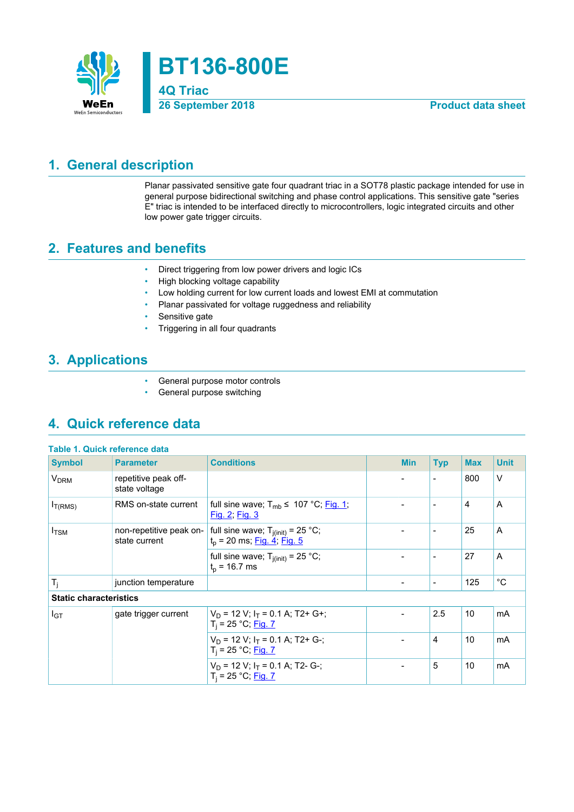

## <span id="page-0-0"></span>**1. General description**

Planar passivated sensitive gate four quadrant triac in a SOT78 plastic package intended for use in general purpose bidirectional switching and phase control applications. This sensitive gate "series E" triac is intended to be interfaced directly to microcontrollers, logic integrated circuits and other low power gate trigger circuits.

### <span id="page-0-1"></span>**2. Features and benefits**

- Direct triggering from low power drivers and logic ICs
- High blocking voltage capability
- Low holding current for low current loads and lowest EMI at commutation
- Planar passivated for voltage ruggedness and reliability
- Sensitive gate
- Triggering in all four quadrants

## <span id="page-0-2"></span>**3. Applications**

- General purpose motor controls
- General purpose switching

## <span id="page-0-3"></span>**4. Quick reference data**

| Table 1. Quick reference data |                                          |                                                                            |                          |                          |            |              |
|-------------------------------|------------------------------------------|----------------------------------------------------------------------------|--------------------------|--------------------------|------------|--------------|
| <b>Symbol</b>                 | <b>Parameter</b>                         | <b>Conditions</b>                                                          | <b>Min</b>               | <b>Typ</b>               | <b>Max</b> | <b>Unit</b>  |
| <b>V<sub>DRM</sub></b>        | repetitive peak off-<br>state voltage    |                                                                            | $\overline{\phantom{0}}$ | $\overline{\phantom{a}}$ | 800        | $\vee$       |
| $I_{T(RMS)}$                  | RMS on-state current                     | full sine wave; T <sub>mb</sub> ≤ 107 °C; Fig. 1;<br>Fig. 2, Fig. 3        |                          | $\overline{\phantom{a}}$ | 4          | A            |
| $I_{\text{TSM}}$              | non-repetitive peak on-<br>state current | full sine wave; $T_{j(int)} = 25 °C$ ;<br>$t_p$ = 20 ms; $Fig. 4$ ; Fig. 5 | $\overline{\phantom{0}}$ | $\overline{\phantom{a}}$ | 25         | A            |
|                               |                                          | full sine wave; $T_{i(int)} = 25 °C$ ;<br>$t_{p}$ = 16.7 ms                | $\overline{\phantom{0}}$ | $\overline{\phantom{a}}$ | 27         | A            |
| $T_j$                         | junction temperature                     |                                                                            | -                        | $\overline{\phantom{a}}$ | 125        | $^{\circ}$ C |
| <b>Static characteristics</b> |                                          |                                                                            |                          |                          |            |              |
| $I_{GT}$                      | gate trigger current                     | $V_D$ = 12 V; $I_T$ = 0.1 A; T2+ G+;<br>$T_i = 25 °C;$ Fig. 7              |                          | 2.5                      | 10         | mA           |
|                               |                                          | $V_D$ = 12 V; $I_T$ = 0.1 A; T2+ G-;<br>$T_i = 25 °C;$ Fig. 7              |                          | 4                        | 10         | mA           |
|                               |                                          | $V_D$ = 12 V; $I_T$ = 0.1 A; T2- G-;<br>$T_i = 25 °C;$ Fig. 7              | -                        | 5                        | 10         | mA           |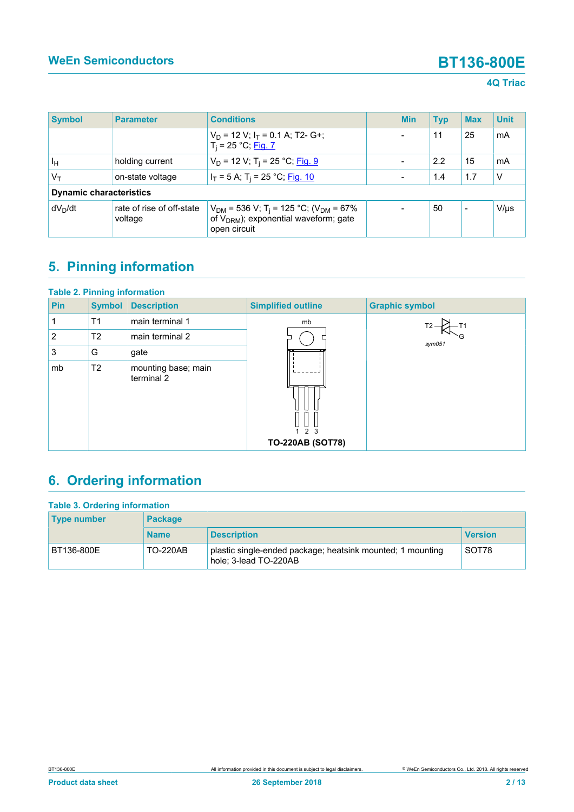### **4Q Triac**

| <b>Symbol</b>                  | <b>Parameter</b>                     | <b>Conditions</b>                                                                                                               |  | <b>Min</b> | <b>Typ</b> | <b>Max</b>               | <b>Unit</b> |
|--------------------------------|--------------------------------------|---------------------------------------------------------------------------------------------------------------------------------|--|------------|------------|--------------------------|-------------|
|                                |                                      | $V_D$ = 12 V; $I_T$ = 0.1 A; T2- G+;<br>$T_i = 25 °C;$ Fig. 7                                                                   |  |            | 11         | 25                       | mA          |
| Iн                             | holding current                      | $V_D$ = 12 V; T <sub>i</sub> = 25 °C; Fig. 9                                                                                    |  |            | 2.2        | 15                       | mA          |
| Vт                             | on-state voltage                     | $I_T = 5$ A; T <sub>i</sub> = 25 °C; Fig. 10                                                                                    |  |            | 1.4        | 1.7                      | V           |
| <b>Dynamic characteristics</b> |                                      |                                                                                                                                 |  |            |            |                          |             |
| dV <sub>n</sub> /dt            | rate of rise of off-state<br>voltage | $V_{DM}$ = 536 V; T <sub>i</sub> = 125 °C; (V <sub>DM</sub> = 67%<br>of $V_{DRM}$ ); exponential waveform; gate<br>open circuit |  |            | 50         | $\overline{\phantom{0}}$ | V/µs        |

# <span id="page-1-0"></span>**5. Pinning information**

| <b>Table 2. Pinning information</b> |                                   |                                |                       |  |  |  |  |
|-------------------------------------|-----------------------------------|--------------------------------|-----------------------|--|--|--|--|
| Pin<br><b>Symbol</b>                | <b>Description</b>                | <b>Simplified outline</b>      | <b>Graphic symbol</b> |  |  |  |  |
| T <sub>1</sub>                      | main terminal 1                   | mb                             |                       |  |  |  |  |
| 2<br>T <sub>2</sub>                 | main terminal 2                   |                                | sym051                |  |  |  |  |
| 3<br>G                              | gate                              |                                |                       |  |  |  |  |
| T <sub>2</sub><br>mb                | mounting base; main<br>terminal 2 | 2 3<br><b>TO-220AB (SOT78)</b> |                       |  |  |  |  |

# <span id="page-1-1"></span>**6. Ordering information**

| <b>Table 3. Ordering information</b> |                 |                                                                                     |                |  |  |  |
|--------------------------------------|-----------------|-------------------------------------------------------------------------------------|----------------|--|--|--|
| <b>Type number</b>                   | <b>Package</b>  |                                                                                     |                |  |  |  |
|                                      | <b>Name</b>     | <b>Description</b>                                                                  | <b>Version</b> |  |  |  |
| BT136-800E                           | <b>TO-220AB</b> | plastic single-ended package; heatsink mounted; 1 mounting<br>hole; 3-lead TO-220AB | SOT78          |  |  |  |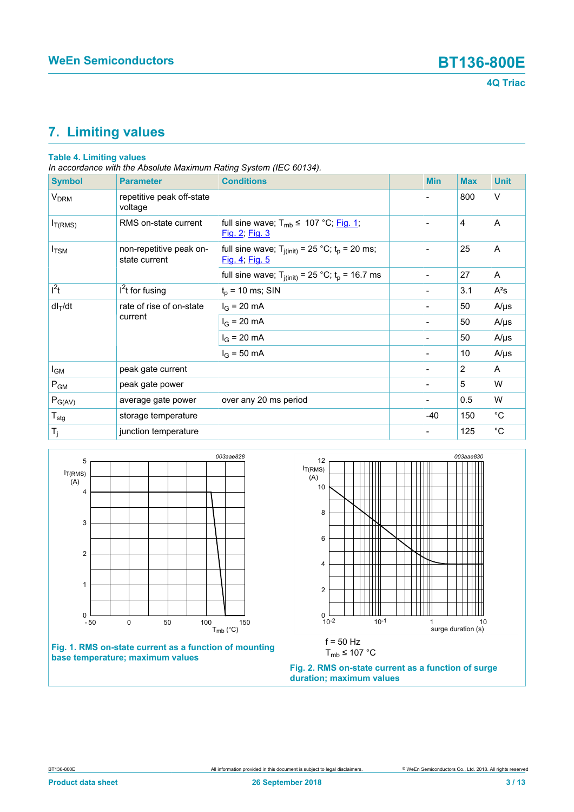

## <span id="page-2-2"></span>**7. Limiting values**

### **Table 4. Limiting values**

*In accordance with the Absolute Maximum Rating System (IEC 60134).*

| <b>Symbol</b>          | <b>Parameter</b>                         | <b>Conditions</b>                                                       | <b>Min</b>                   | <b>Max</b> | <b>Unit</b> |
|------------------------|------------------------------------------|-------------------------------------------------------------------------|------------------------------|------------|-------------|
| <b>V<sub>DRM</sub></b> | repetitive peak off-state<br>voltage     |                                                                         |                              | 800        | $\vee$      |
| $I_{T(RMS)}$           | RMS on-state current                     | full sine wave; $T_{mb} \leq 107 \degree C$ ; Fig. 1;<br>Fig. 2; Fig. 3 |                              | 4          | A           |
| $I_{\text{TSM}}$       | non-repetitive peak on-<br>state current | full sine wave; $T_{j(int)} = 25 °C$ ; $t_p = 20$ ms;<br>Fig. 4; Fig. 5 |                              | 25         | A           |
|                        |                                          | full sine wave; $T_{j(int)} = 25$ °C; $t_p = 16.7$ ms                   | $\overline{\phantom{a}}$     | 27         | A           |
| $l^2t$                 | $I2t$ for fusing                         | $t_p$ = 10 ms; SIN                                                      |                              | 3.1        | $A^2s$      |
| $dl_T/dt$              | rate of rise of on-state<br>current      | $I_G = 20 \text{ mA}$                                                   | -                            | 50         | $A/\mu s$   |
|                        |                                          | $I_G = 20 \text{ mA}$                                                   |                              | 50         | $A/\mu s$   |
|                        |                                          | $I_G = 20 \text{ mA}$                                                   | $\overline{\phantom{a}}$     | 50         | $A/\mu s$   |
|                        |                                          | $I_G = 50 \text{ mA}$                                                   | $\overline{\phantom{a}}$     | 10         | $A/\mu s$   |
| I <sub>GM</sub>        | peak gate current                        |                                                                         |                              | 2          | A           |
| $P_{GM}$               | peak gate power                          |                                                                         |                              | 5          | W           |
| $P_{G(AV)}$            | average gate power                       | over any 20 ms period                                                   | $\qquad \qquad \blacksquare$ | 0.5        | W           |
| $T_{\text{stg}}$       | storage temperature                      |                                                                         | $-40$                        | 150        | $^{\circ}C$ |
| $T_j$                  | junction temperature                     |                                                                         | -                            | 125        | $^{\circ}C$ |

<span id="page-2-0"></span>

### **Fig. 1. RMS on-state current as a function of mounting base temperature; maximum values**

<span id="page-2-1"></span>

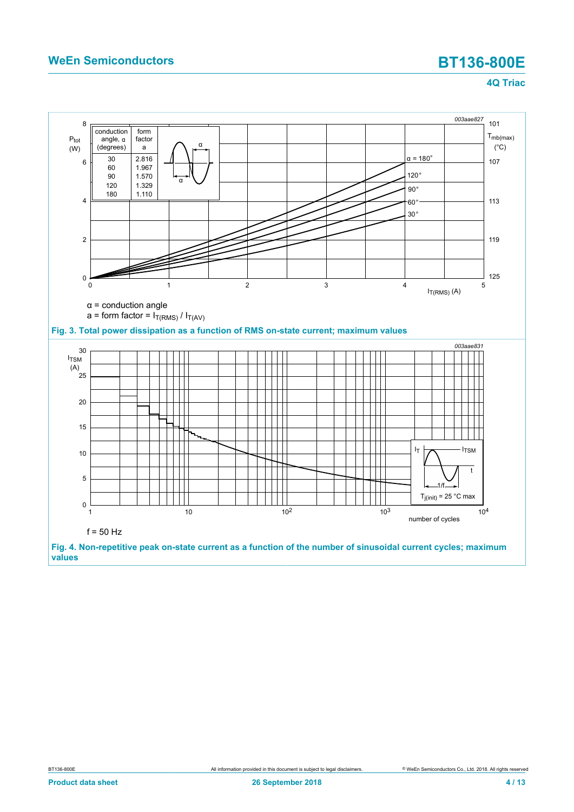<span id="page-3-1"></span><span id="page-3-0"></span>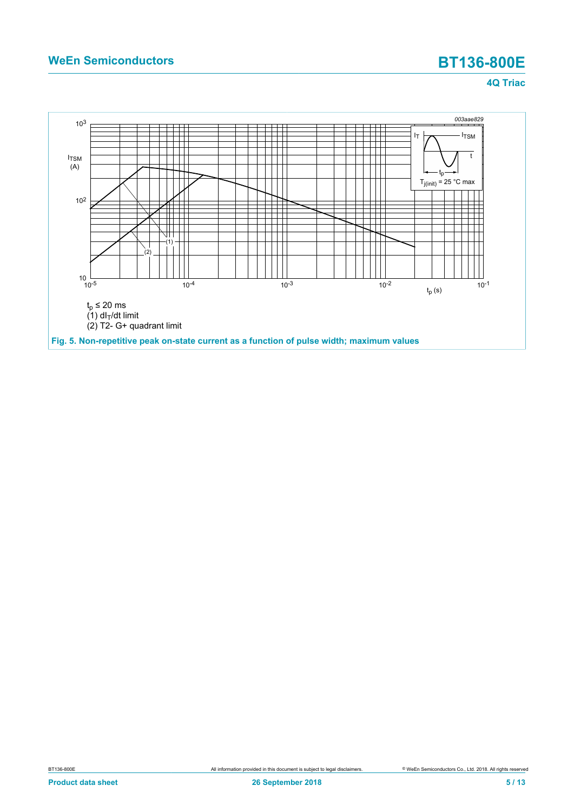<span id="page-4-0"></span>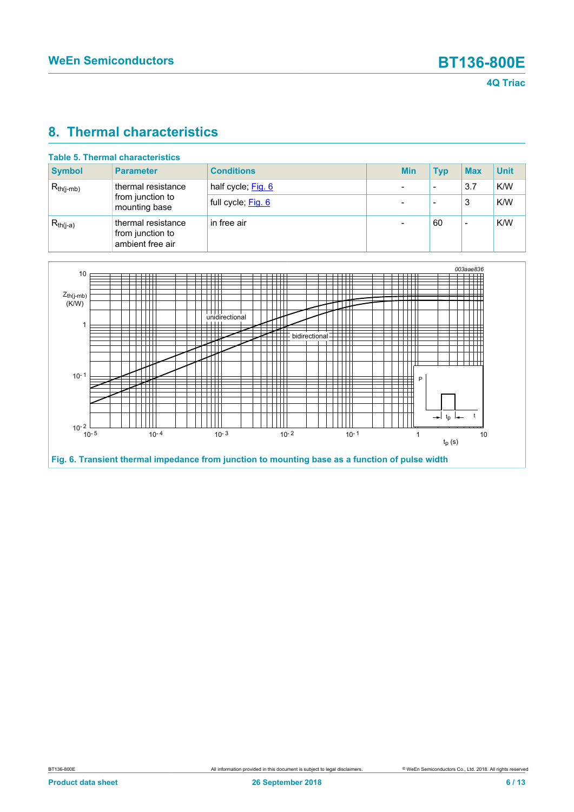## <span id="page-5-1"></span>**8. Thermal characteristics**

| Table 5. Thermal characteristics |                                                            |                    |  |            |            |            |             |
|----------------------------------|------------------------------------------------------------|--------------------|--|------------|------------|------------|-------------|
| <b>Symbol</b>                    | <b>Parameter</b>                                           | <b>Conditions</b>  |  | <b>Min</b> | <b>Typ</b> | <b>Max</b> | <b>Unit</b> |
| $R_{th(i-mb)}$                   | thermal resistance                                         | half cycle; Fig. 6 |  |            | -          | 3.7        | K/W         |
|                                  | from junction to<br>mounting base                          | full cycle; Fig. 6 |  |            |            | 3          | K/W         |
| $R_{th(j-a)}$                    | thermal resistance<br>from junction to<br>ambient free air | in free air        |  |            | 60         |            | K/W         |

<span id="page-5-0"></span>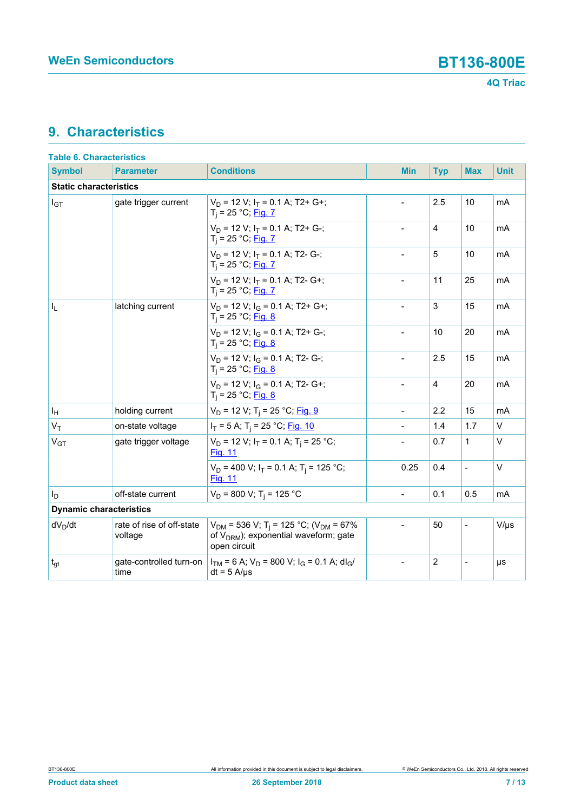## <span id="page-6-0"></span>**9. Characteristics**

| <b>Table 6. Characteristics</b> |                                      |                                                                                                                                        |                |                |                          |            |             |  |
|---------------------------------|--------------------------------------|----------------------------------------------------------------------------------------------------------------------------------------|----------------|----------------|--------------------------|------------|-------------|--|
| <b>Symbol</b>                   | <b>Parameter</b>                     | <b>Conditions</b>                                                                                                                      | <b>Min</b>     | <b>Typ</b>     |                          | <b>Max</b> | <b>Unit</b> |  |
| <b>Static characteristics</b>   |                                      |                                                                                                                                        |                |                |                          |            |             |  |
| $I_{GT}$                        | gate trigger current                 | $V_D$ = 12 V; $I_T$ = 0.1 A; T2+ G+;<br>$T_i = 25 °C;$ Fig. 7                                                                          |                | 2.5            |                          | 10         | mA          |  |
|                                 |                                      | $V_D$ = 12 V; $I_T$ = 0.1 A; T2+ G-;<br>$T_i = 25 °C;$ Fig. 7                                                                          |                | $\overline{4}$ |                          | 10         | mA          |  |
|                                 |                                      | $V_D$ = 12 V; $I_T$ = 0.1 A; T2- G-;<br>$T_i = 25 °C;$ Fig. 7                                                                          |                | 5              |                          | 10         | mA          |  |
|                                 |                                      | $V_D$ = 12 V; $I_T$ = 0.1 A; T2- G+;<br>$T_i = 25 °C;$ Fig. 7                                                                          | $\frac{1}{2}$  | 11             | 25                       |            | mA          |  |
| $I_{L}$                         | latching current                     | $V_D$ = 12 V; $I_G$ = 0.1 A; T2+ G+;<br>$T_i = 25 °C;$ Fig. 8                                                                          |                | 3              |                          | 15         | mA          |  |
|                                 |                                      | $V_D$ = 12 V; $I_G$ = 0.1 A; T2+ G-;<br>$T_i = 25 °C;$ Fig. 8                                                                          | $\frac{1}{2}$  | 10             | 20                       |            | mA          |  |
|                                 |                                      | $V_D$ = 12 V; $I_G$ = 0.1 A; T2- G-;<br>$T_i = 25 °C;$ Fig. 8                                                                          | $\overline{a}$ | 2.5            |                          | 15         | mA          |  |
|                                 |                                      | $V_D$ = 12 V; $I_G$ = 0.1 A; T2- G+;<br>$T_i = 25 °C;$ Fig. 8                                                                          | $\overline{a}$ | $\overline{4}$ | 20                       |            | mA          |  |
| ΙH                              | holding current                      | $V_D$ = 12 V; T <sub>i</sub> = 25 °C; Fig. 9                                                                                           |                | 2.2            |                          | 15         | mA          |  |
| $V_T$                           | on-state voltage                     | $I_T = 5$ A; T <sub>i</sub> = 25 °C; <u>Fig. 10</u>                                                                                    |                | 1.4            |                          | 1.7        | $\vee$      |  |
| V <sub>GT</sub>                 | gate trigger voltage                 | $V_D$ = 12 V; $I_T$ = 0.1 A; T <sub>i</sub> = 25 °C;<br><b>Fig. 11</b>                                                                 |                | 0.7            | 1                        |            | $\vee$      |  |
|                                 |                                      | $V_D$ = 400 V; $I_T$ = 0.1 A; T <sub>i</sub> = 125 °C;<br>Fig. 11                                                                      | 0.25           | 0.4            | $\overline{a}$           |            | $\vee$      |  |
| Ιp                              | off-state current                    | $V_D$ = 800 V; T <sub>i</sub> = 125 °C                                                                                                 | $\overline{a}$ | 0.1            |                          | 0.5        | mA          |  |
| <b>Dynamic characteristics</b>  |                                      |                                                                                                                                        |                |                |                          |            |             |  |
| $dV_D/dt$                       | rate of rise of off-state<br>voltage | $V_{DM}$ = 536 V; T <sub>i</sub> = 125 °C; (V <sub>DM</sub> = 67%<br>of V <sub>DRM</sub> ); exponential waveform; gate<br>open circuit |                | 50             | $\overline{\phantom{0}}$ |            | $V/\mu s$   |  |
| $t_{gt}$                        | gate-controlled turn-on<br>time      | $I_{TM}$ = 6 A; $V_D$ = 800 V; $I_G$ = 0.1 A; dl <sub>G</sub> /<br>$dt = 5$ A/ $\mu$ s                                                 | $\overline{a}$ | $\overline{c}$ | $\overline{\phantom{0}}$ |            | μs          |  |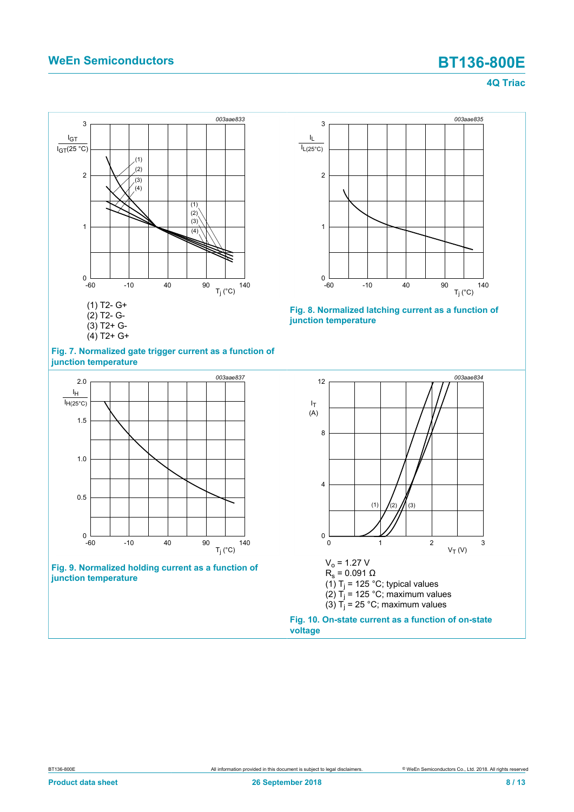<span id="page-7-0"></span>



<span id="page-7-1"></span>

**Fig. 9. Normalized holding current as a function of junction temperature**

<span id="page-7-3"></span>



<span id="page-7-2"></span>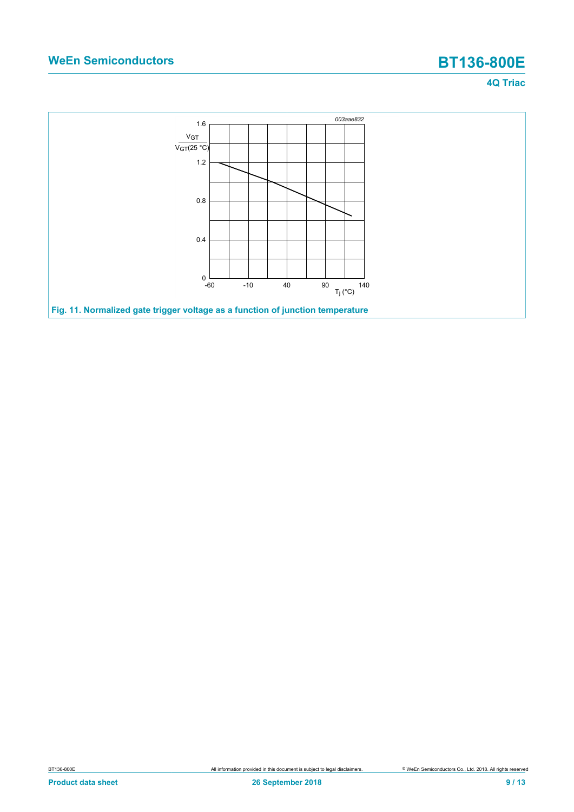<span id="page-8-0"></span>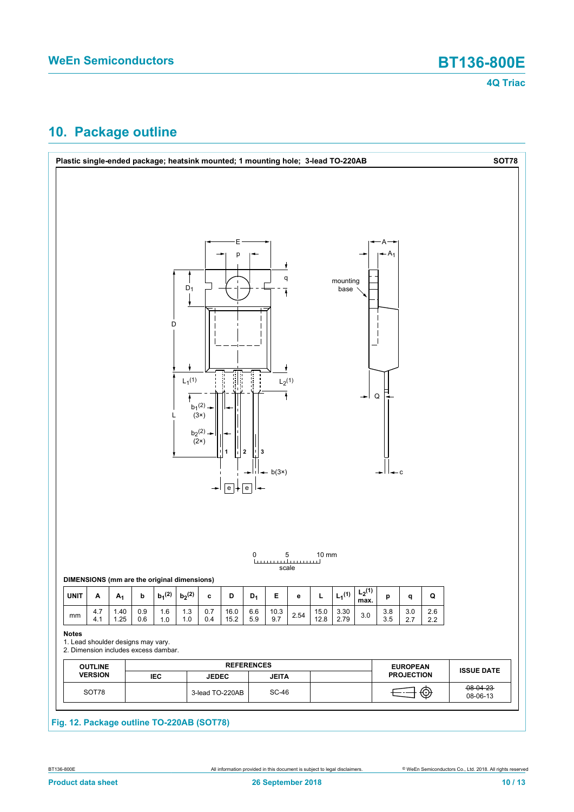## <span id="page-9-0"></span>**10. Package outline**

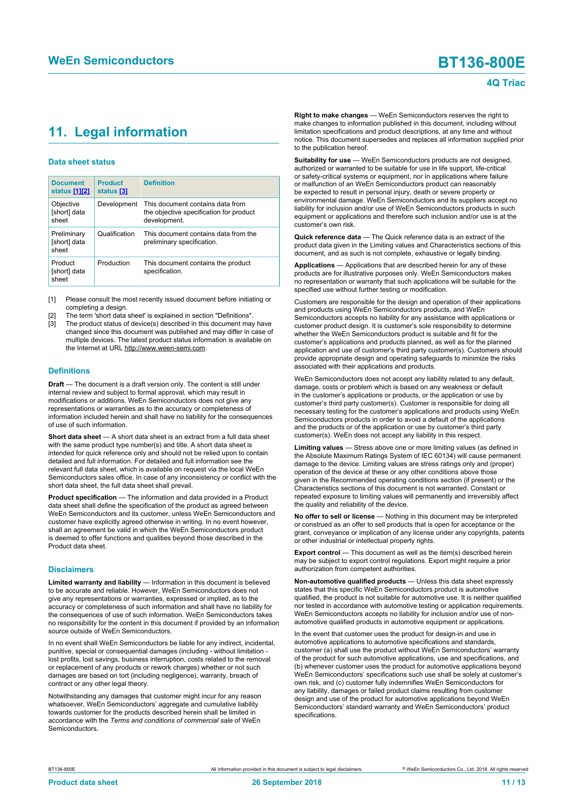## <span id="page-10-1"></span><span id="page-10-0"></span>**11. Legal information**

#### **Data sheet status**

| <b>Document</b><br>status [1][2]     | <b>Product</b><br>status [3] | <b>Definition</b>                                                                           |
|--------------------------------------|------------------------------|---------------------------------------------------------------------------------------------|
| Objective<br>[short] data<br>sheet   | Development                  | This document contains data from<br>the objective specification for product<br>development. |
| Preliminary<br>[short] data<br>sheet | Qualification                | This document contains data from the<br>preliminary specification.                          |
| Product<br>[short] data<br>sheet     | Production                   | This document contains the product<br>specification.                                        |

[1] Please consult the most recently issued document before initiating or completing a design.

- The term 'short data sheet' is explained in section "Definitions".
- The product status of device(s) described in this document may have changed since this document was published and may differ in case of multiple devices. The latest product status information is available on the Internet at URL http://www.ween-semi.com.

#### **Definitions**

**Draft** — The document is a draft version only. The content is still under internal review and subject to formal approval, which may result in modifications or additions. WeEn Semiconductors does not give any representations or warranties as to the accuracy or completeness of information included herein and shall have no liability for the consequences of use of such information.

**Short data sheet** — A short data sheet is an extract from a full data sheet with the same product type number(s) and title. A short data sheet is intended for quick reference only and should not be relied upon to contain detailed and full information. For detailed and full information see the relevant full data sheet, which is available on request via the local WeEn Semiconductors sales office. In case of any inconsistency or conflict with the short data sheet, the full data sheet shall prevail.

**Product specification** — The information and data provided in a Product data sheet shall define the specification of the product as agreed between WeEn Semiconductors and its customer, unless WeEn Semiconductors and customer have explicitly agreed otherwise in writing. In no event however, shall an agreement be valid in which the WeEn Semiconductors product is deemed to offer functions and qualities beyond those described in the Product data sheet.

#### **Disclaimers**

**Limited warranty and liability** — Information in this document is believed to be accurate and reliable. However, WeEn Semiconductors does not give any representations or warranties, expressed or implied, as to the accuracy or completeness of such information and shall have no liability for the consequences of use of such information. WeEn Semiconductors takes no responsibility for the content in this document if provided by an information source outside of WeEn Semiconductors.

In no event shall WeEn Semiconductors be liable for any indirect, incidental, punitive, special or consequential damages (including - without limitation lost profits, lost savings, business interruption, costs related to the removal or replacement of any products or rework charges) whether or not such damages are based on tort (including negligence), warranty, breach of contract or any other legal theory.

Notwithstanding any damages that customer might incur for any reason whatsoever, WeEn Semiconductors' aggregate and cumulative liability towards customer for the products described herein shall be limited in accordance with the *Terms and conditions of commercial sale* of WeEn **Semiconductors** 

**Right to make changes** — WeEn Semiconductors reserves the right to make changes to information published in this document, including without limitation specifications and product descriptions, at any time and without notice. This document supersedes and replaces all information supplied prior to the publication hereof.

**Suitability for use** — WeEn Semiconductors products are not designed, authorized or warranted to be suitable for use in life support, life-critical or safety-critical systems or equipment, nor in applications where failure or malfunction of an WeEn Semiconductors product can reasonably be expected to result in personal injury, death or severe property or environmental damage. WeEn Semiconductors and its suppliers accept no liability for inclusion and/or use of WeEn Semiconductors products in such equipment or applications and therefore such inclusion and/or use is at the customer's own risk.

**Quick reference data** — The Quick reference data is an extract of the product data given in the Limiting values and Characteristics sections of this document, and as such is not complete, exhaustive or legally binding.

**Applications** — Applications that are described herein for any of these products are for illustrative purposes only. WeEn Semiconductors makes no representation or warranty that such applications will be suitable for the specified use without further testing or modification.

Customers are responsible for the design and operation of their applications and products using WeEn Semiconductors products, and WeEn Semiconductors accepts no liability for any assistance with applications or customer product design. It is customer's sole responsibility to determine whether the WeEn Semiconductors product is suitable and fit for the customer's applications and products planned, as well as for the planned application and use of customer's third party customer(s). Customers should provide appropriate design and operating safeguards to minimize the risks associated with their applications and products.

WeEn Semiconductors does not accept any liability related to any default, damage, costs or problem which is based on any weakness or default in the customer's applications or products, or the application or use by customer's third party customer(s). Customer is responsible for doing all necessary testing for the customer's applications and products using WeEn Semiconductors products in order to avoid a default of the applications and the products or of the application or use by customer's third party customer(s). WeEn does not accept any liability in this respect.

**Limiting values** — Stress above one or more limiting values (as defined in the Absolute Maximum Ratings System of IEC 60134) will cause permanent damage to the device. Limiting values are stress ratings only and (proper) operation of the device at these or any other conditions above those given in the Recommended operating conditions section (if present) or the Characteristics sections of this document is not warranted. Constant or repeated exposure to limiting values will permanently and irreversibly affect the quality and reliability of the device.

**No offer to sell or license** — Nothing in this document may be interpreted or construed as an offer to sell products that is open for acceptance or the grant, conveyance or implication of any license under any copyrights, patents or other industrial or intellectual property rights.

**Export control** — This document as well as the item(s) described herein may be subject to export control regulations. Export might require a prior authorization from competent authorities.

**Non-automotive qualified products** — Unless this data sheet expressly states that this specific WeEn Semiconductors product is automotive qualified, the product is not suitable for automotive use. It is neither qualified nor tested in accordance with automotive testing or application requirements. WeEn Semiconductors accepts no liability for inclusion and/or use of nonautomotive qualified products in automotive equipment or applications.

In the event that customer uses the product for design-in and use in automotive applications to automotive specifications and standards, customer (a) shall use the product without WeEn Semiconductors' warranty of the product for such automotive applications, use and specifications, and (b) whenever customer uses the product for automotive applications beyond WeEn Semiconductors' specifications such use shall be solely at customer's own risk, and (c) customer fully indemnifies WeEn Semiconductors for any liability, damages or failed product claims resulting from customer design and use of the product for automotive applications beyond WeEn Semiconductors' standard warranty and WeEn Semiconductors' product specifications.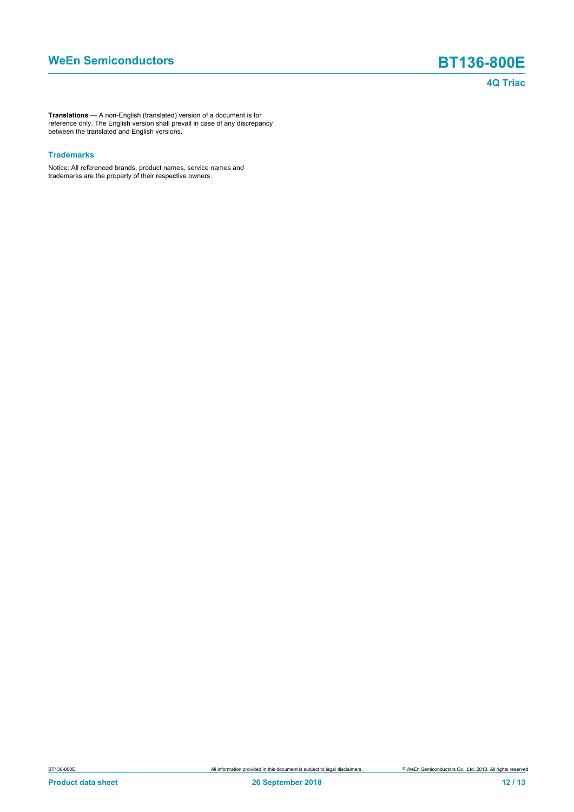**Translations** — A non-English (translated) version of a document is for reference only. The English version shall prevail in case of any discrepancy between the translated and English versions.

#### **Trademarks**

Notice: All referenced brands, product names, service names and trademarks are the property of their respective owners.